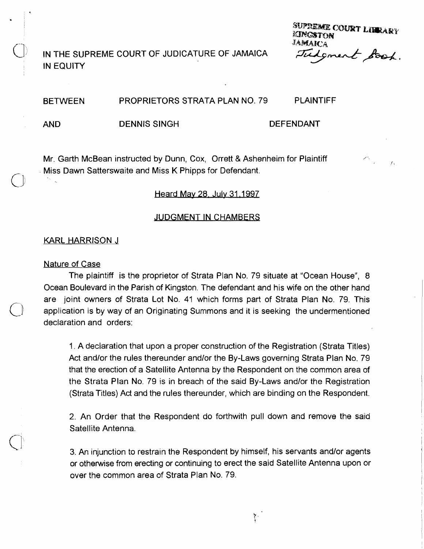IN THE SUPREME COURT OF JUDICATURE OF JAMAICA IN EQUITY

**SUPREME COURT LIBRARY ANGSTON** *Judgment Book.* 

 $\mathcal{L}_3$ 

### **BETWEEN** PROPRIETORS STRATA PLAN NO. 79 PLAINTIFF

AND

DENNIS SlNGH DEFENDANT

Mr. Garth McBean instructed by Dunn, Cox, Orrett & Ashenheim for Plaintiff Miss Dawn Satterswaite and Miss K Phipps for Defendant.

## Heard May 28, July 31, 1997

### JUDGMENT IN CHAMBERS

### KARL HARRISON J

### Nature of Case

 $\bigcup$ 

The plaintiff is the proprietor of Strata Plan No. 79 situate at "Ocean House", 8 Ocean Boulevard in the Parish of Kingston. The defendant and his wife on the other hand are joint owners of Strata Lot No. 41 which forms part of Strata Plan No. 79. This application is by way of an Originating Summons and it is seeking the undermentioned declaration and orders:

1. A declaration that upon a proper construction of the Registration (Strata Titles) Act and/or the rules thereunder and/or the By-Laws governing Strata Plan No. 79 that the erection of a Satellite Antenna by the Respondent on the common area of the Strata Plan No. 79 is in breach of the said By-Laws and/or the Registration (Strata Titles) Act and the rules thereunder, which are binding on the Respondent.

2. An Order that the Respondent do forthwith pull down and remove the said Satellite Antenna.

3. An injunction to restrain the Respondent by himself, his servants and/or agents or otherwise from erecting or continuing to erect the said Satellite Antenna upon or over the common area of Strata Plan No. 79.

Y.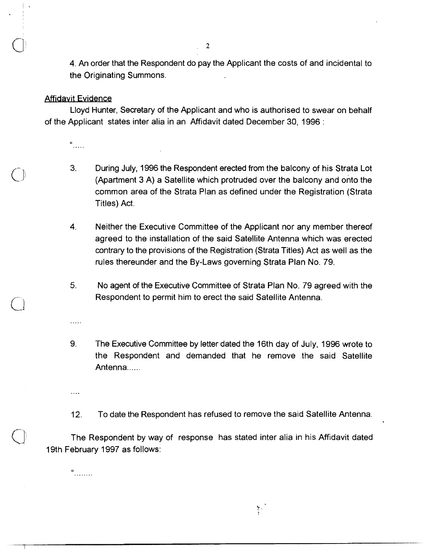4. An order that the Respondent do pay the Applicant the costs of and incidental to the Originating Summons.

### **Affidavit Evidence**

Lloyd Hunter, Secretary of the Applicant and who is authorised to swear on behalf of the Applicant states inter alia in an Affidavit dated December 30, 1996 :

 $\frac{a}{\sqrt{a}}$ 

- **3.** During July, 1996 the Respondent erected from the balcony of his Strata Lot (Apartment 3 A) a Satellite which protruded over the balcony and onto the common area of the Strata Plan as defined under the Registration (Strata Titles) Act.
- **4.** Nei'ther the Executive Committee of the Applicant nor any member thereof agreed to the installation of the said Satellite Antenna which was erected contrary to the provisions of the Registration (Strata Titles) Act as well as the rules thereunder and the By-Laws governing Strata Plan No. 79.
- 5. No agent of the Executive Committee of Strata Plan No. 79 agreed with the Respondent to permit him to erect the said Satellite Antenna.
- 9. The Executive Committee by letter dated the 16th day of July, 1996 wrote to the Respondent and demanded that he remove the said Satellite Antenna......
- 12. To date the Respondent has refused to remove the said Satellite Antenna.

The Respondent by way of response has stated inter alia in his Affidavit dated 19th February 1997 as follows:

 $\alpha$ ........

....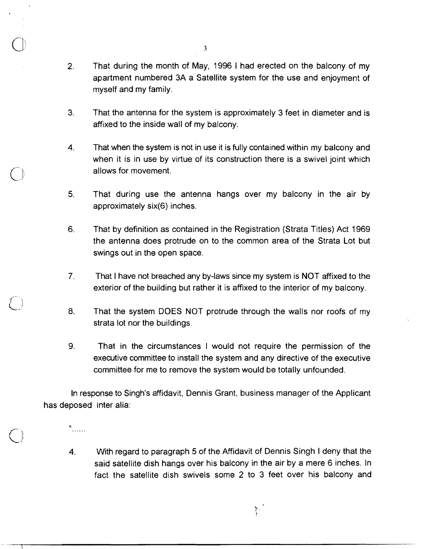- **2.** That during the month of May, 1996 **1** had erected on the balcony of my apartment numbered 3A a Satellite system for the use and enjoyment of myself and my family.
- 3. That the antenna for the system is approximately 3 feet in diameter and is affixed to the inside wall of my balcony.
- **4.** That when the system is not in use it is fully contained within my balcony and when it is in use by virtue of its construction there is a swivel joint which allows for movement.
- 5. That during use the antenna hangs over my balcony in the air by approximately six(6) inches.
- 6. That by definition as contained in the Registration (Strata Titles) Act 1969 the antenna does protrude on to the common area of the Strata Lot but swings out in the open space.
- 7. That I have not breached any by-laws since my system is NOT affixed to the exterior of the building but rather it is affixed to the interior of my balcony.
- 8. That the system DOES NOT protrude through the walls nor roofs of my strata lot nor the buildings.
- 9. That in the circumstances I would not require the permission of the executive committee to install the system and any directive of the executive committee for me to remove the system would be totally unfounded.

In response to Singh's affidavit, Dennis Grant, business manager of the Applicant has deposed inter alia:

 $\mathbf{a}$  . . . . . .

**4.** With regard to paragraph 5 of the Affidavit of Dennis Singh I deny that the said satellite dish hangs over his balcony in the air by a mere 6 inches. In fact the satellite dish swivels some 2 to 3 feet over his balcony and

 $\mathcal{L}^{\mathcal{L}}$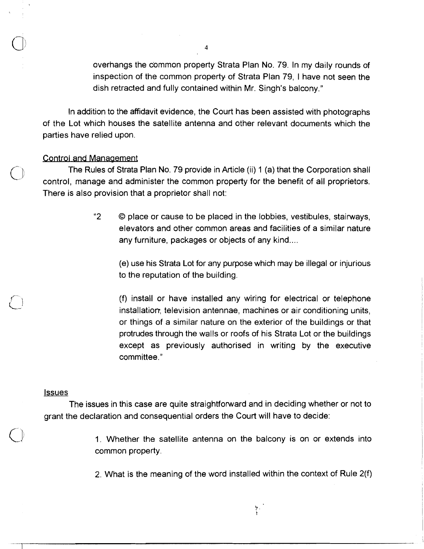overhangs the c'ommon property Strata Plan No. 79. In my daily rounds of inspection of the common property of Strata Plan 79, 1 have not seen the dish retracted and fully contained within Mr. Singh's balcony."

In addition to the affidavit evidence, the Court has been assisted with photographs of the Lot which houses the satellite antenna and other relevant documents which the <sup>4</sup><br>overhangs the common property Strata Plain<br>inspection of the common property of Strat<br>dish retracted and fully contained within Mr.<br>In addition to the affidavit evidence, the Court has b<br>of the Lot which houses the sat

The Rules of Strata Plan No. 79 provide in Article (ii) 1 (a) that the Corporation shall control, manage and administer the common property for the benefit of all proprietors. There is also provision that a proprietor shall not:

> "2 O place or cause to be placed in the lobbies, vestibules, stairways, elevators and other common areas and facilities of a similar nature any furniture, packages or objects of any kind....

(e) use his Strata Lot for any purpose which may be illegal or injurious to the reputation of the building.

(f) install or have installed any wiring for electrical or telephone installation, television antennae, machines or air conditioning units, or things of a similar nature on the exterior of the buildings or that protrudes through the walls or roofs of his Strata Lot or the buildings except as previously authorised in writing by the executive committee."

### **Issues**

The issues in this case are quite straightforward and in deciding whether or not to grant the declaration and consequential orders the Court will have to decide:

> 1. Whether the satellite antenna on the balcony is on or extends into common property.

> 2. What is the meaning of the word installed within the context of Rule 2(f)

y.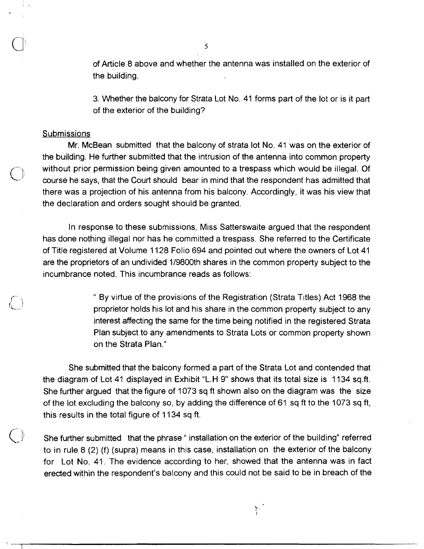of Article 8 above and whether the antenna was installed on the exterior of the building.

3. Whether the balcony for Strata Lot No. 41 forms part of the lot or is it part of the exterior of the building?

### **Submissions**

Mr. McBean submitted that the balcony of strata lot No. 41 was on the exterior of the building. He further submitted that the intrusion of the antenna into common property  $\bigcirc$  without prior permission being given amounted to a trespass which would be illegal. Of course he says, that the Court should bear in mind that the respondent has admitted that there was a projection of his antenna from his balcony. Accordingly, it was his view that the declaration and orders sought should be granted.

In response to these submissions, Miss Satterswaite argued that the respondent has done nothing illegal nor has he committed a trespass. She referred to the Certificate of Title registered at Volume 1128 Folio 694 and pointed out where the owners of Lot 41 are the proprietors of an undivided 119800th shares in the common property subject to the incumbrance noted. This incumbrance reads as follows:

> " By virtue of the provisions of the Registration (Strata Titles) Act 1968 the proprietor holds his lot and his share in the common property subject to any interest affecting the same for the time being notified in the registered Strata Plan subject to any amendments to Strata Lots or common property shown on the Strata Plan."

She submitted that the balcony formed a part of the Strata Lot and contended that the diagram of Lot 41 displayed in Exhibit "L.H 9" shows that its total size is 1134 sq.ft. She further argued that the figure of 1073 sq ft shown also on the diagram was the size of the lot excluding the balcony so, by adding the difference of 61 sq ft to the 1073 sq ft, this results in the total figure of 1134 sq ft.

She further submitted that the phrase " installation on the exterior of the building" referred to in rule 8 (2) (f) (supra) means in this case, installation on the exterior of the balcony for Lot No. 41. The evidence according to her, showed that the antenna was in fact erected within the respondent's balcony and this could not be said to be in breach of the

ķ.

 $\mathsf{S}$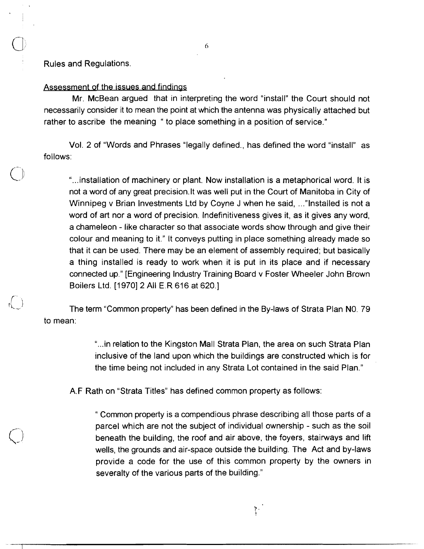Rules and Regulations.

# Assessment of the issues and findings

Mr. McBean argued that in interpreting the word "install" the Court should not necessarily consider it to mean the point at which the antenna was physically attached but rather to ascribe the meaning " to place something in a position of service."

Vol. 2 of "Words and Phrases "legally defined., has defined the word "install" as follows:

"...installation of machinery or plant. Now installation is a metaphorical word. It is not a word of any great precision.It was well put in the Court of Manitoba in City of Winnipeg v Brian Investments Ltd by Coyne J when he said, ..."Installed is not a word of art nor a word of precision. Indefinitiveness gives it, as it gives any word, a chameleon - like character so that associate words show through and give their colour and meaning to it." It conveys putting in place something already made so that it can be used. There may be an element of assembly required; but basically a thing installed is ready to work when it is put in its place and if necessary connected up." [Engineering Industry Training Board v Foster Wheeler John Brown Boilers Ltd. [1970] 2 All E.R 616 at 620.]

 $\begin{pmatrix} 1 \\ 1 \end{pmatrix}$  The term "Common property" has been defined in the By-laws of Strata Plan N0. 79 to mean:

> "...in relation to the Kingston Mall Strata Plan, the area on such Strata Plan inclusive of the land upon which the buildings are constructed which is for the time being not included in any Strata Lot contained in the said Plan."

A.F Rath on "Strata Titles" has defined common property as follows:

" Common property is a compendious phrase describing all those parts of a parcel which are not the subject of individual ownership - such as the soil beneath the building, the roof and air above, the foyers, stairways and lift wells, the grounds and air-space outside the building. The Act and by-laws provide a code for the use of this common property by the owners in severalty of the various parts of the building."

 $\mathcal{E}^{\mathcal{E}}$ 

6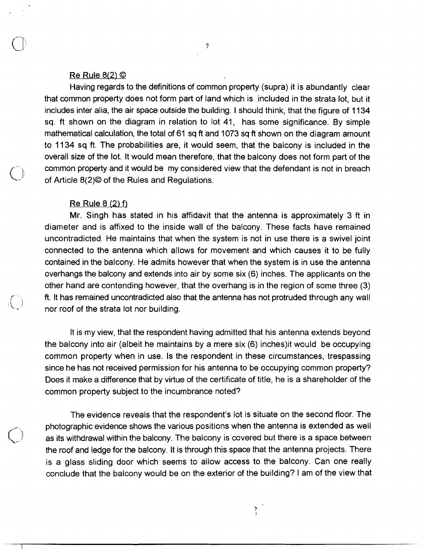### $Re$  Rule 8(2)  $\odot$

Having regards to the definitions of common property (supra) it is abundantly clear that common property does not form part of land which is included in the strata lot, but it includes inter alia, the air space outside the building. I should think, that the figure of 1134 sq. ft shown on the diagram in relation to lot 41, has some significance. By simple mathematical calculation, the total of 61 sq ft and 1073 sq ft shown on the diagram amount to 11 34 sq ft. The probabilities are, it would seem, that the balcony is included in the overall size of the lot. It would mean therefore, that the balcony does not form part of the common property and it would be my considered view that the defendant is not in breach of Article  $8(2)$ <sup>©</sup> of the Rules and Regulations.

### Re Rule 8 **(2)** f)

)

Mr. Singh has stated in his affidavit that the antenna is approximately 3 ft in diameter and is affixed to the inside wall of the balcony. These facts have remained uncontradicted. He maintains that when the system is not in use there is a swivel joint connected to the antenna which allows for movement and which causes it to be fully contained in the balcony. He admits however that when the system is in use the antenna overhangs the balcony and extends into air by some six (6) inches. The applicants on the other hand are contending however, that the overhang is in the region of some three (3) ft. It has remained uncontradicted also that the antenna has not protruded through any wall nor roof of the strata lot nor building.

It is my view, that the respondent having admitted that his antenna extends beyond the balcony into air (albeit he maintains by a mere six (6) inches)it would be occupying common property when in use. Is the respondent in these circumstances, trespassing since he has not received permission for his antenna to be occupying common property? Does it make a difference that by virtue of the certificate of title, he is a shareholder of the common property subject to the incumbrance noted?

The evidence reveals that the respondent's lot is situate on the second floor. The photographic evidence shows the various positions when the antenna is extended as well as its withdrawal within the balcony. The balcony is covered but there is a space between the roof and ledge for the balcony. It is through this space that the antenna projects. There is a glass sliding door which seems to allow access to the balcony. Can one really conclude that the balcony would be on the exterior of the building? I am of the view that

外